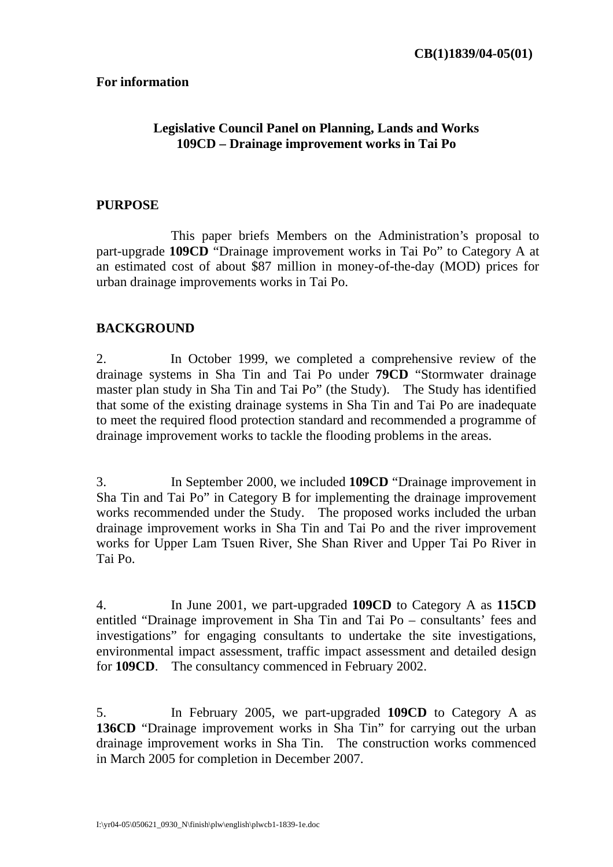#### **For information**

## **Legislative Council Panel on Planning, Lands and Works 109CD – Drainage improvement works in Tai Po**

#### **PURPOSE**

 This paper briefs Members on the Administration's proposal to part-upgrade **109CD** "Drainage improvement works in Tai Po" to Category A at an estimated cost of about \$87 million in money-of-the-day (MOD) prices for urban drainage improvements works in Tai Po.

#### **BACKGROUND**

2. In October 1999, we completed a comprehensive review of the drainage systems in Sha Tin and Tai Po under **79CD** "Stormwater drainage master plan study in Sha Tin and Tai Po" (the Study). The Study has identified that some of the existing drainage systems in Sha Tin and Tai Po are inadequate to meet the required flood protection standard and recommended a programme of drainage improvement works to tackle the flooding problems in the areas.

3. In September 2000, we included **109CD** "Drainage improvement in Sha Tin and Tai Po" in Category B for implementing the drainage improvement works recommended under the Study. The proposed works included the urban drainage improvement works in Sha Tin and Tai Po and the river improvement works for Upper Lam Tsuen River, She Shan River and Upper Tai Po River in Tai Po.

4. In June 2001, we part-upgraded **109CD** to Category A as **115CD** entitled "Drainage improvement in Sha Tin and Tai Po – consultants' fees and investigations" for engaging consultants to undertake the site investigations, environmental impact assessment, traffic impact assessment and detailed design for **109CD**. The consultancy commenced in February 2002.

5. In February 2005, we part-upgraded **109CD** to Category A as **136CD** "Drainage improvement works in Sha Tin" for carrying out the urban drainage improvement works in Sha Tin. The construction works commenced in March 2005 for completion in December 2007.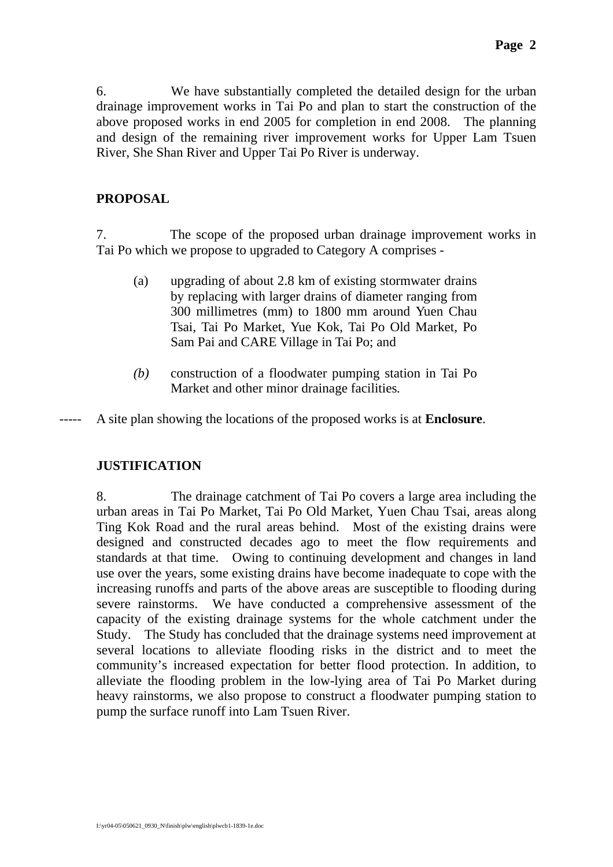6. We have substantially completed the detailed design for the urban drainage improvement works in Tai Po and plan to start the construction of the above proposed works in end 2005 for completion in end 2008. The planning and design of the remaining river improvement works for Upper Lam Tsuen River, She Shan River and Upper Tai Po River is underway.

## **PROPOSAL**

7. The scope of the proposed urban drainage improvement works in Tai Po which we propose to upgraded to Category A comprises -

- (a) upgrading of about 2.8 km of existing stormwater drains by replacing with larger drains of diameter ranging from 300 millimetres (mm) to 1800 mm around Yuen Chau Tsai, Tai Po Market, Yue Kok, Tai Po Old Market, Po Sam Pai and CARE Village in Tai Po; and
- *(b)* construction of a floodwater pumping station in Tai Po Market and other minor drainage facilities*.*

----- A site plan showing the locations of the proposed works is at **Enclosure**.

## **JUSTIFICATION**

8. The drainage catchment of Tai Po covers a large area including the urban areas in Tai Po Market, Tai Po Old Market, Yuen Chau Tsai, areas along Ting Kok Road and the rural areas behind. Most of the existing drains were designed and constructed decades ago to meet the flow requirements and standards at that time. Owing to continuing development and changes in land use over the years, some existing drains have become inadequate to cope with the increasing runoffs and parts of the above areas are susceptible to flooding during severe rainstorms. We have conducted a comprehensive assessment of the capacity of the existing drainage systems for the whole catchment under the Study. The Study has concluded that the drainage systems need improvement at several locations to alleviate flooding risks in the district and to meet the community's increased expectation for better flood protection. In addition, to alleviate the flooding problem in the low-lying area of Tai Po Market during heavy rainstorms, we also propose to construct a floodwater pumping station to pump the surface runoff into Lam Tsuen River.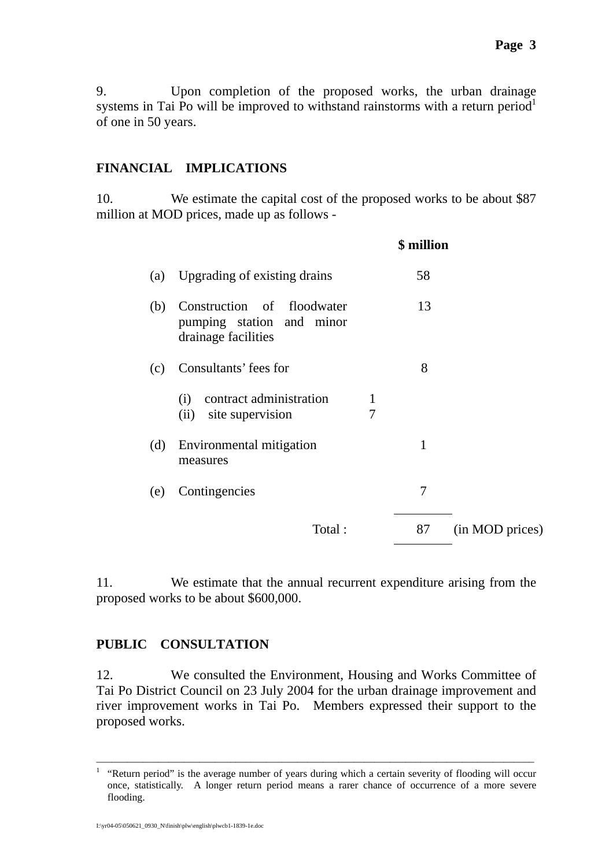## **FINANCIAL IMPLICATIONS**

10. We estimate the capital cost of the proposed works to be about \$87 million at MOD prices, made up as follows -

|     |                                                                                |        | \$ million |                 |
|-----|--------------------------------------------------------------------------------|--------|------------|-----------------|
| (a) | Upgrading of existing drains                                                   |        | 58         |                 |
| (b) | Construction of floodwater<br>pumping station and minor<br>drainage facilities |        | 13         |                 |
| (c) | Consultants' fees for                                                          |        | 8          |                 |
|     | contract administration<br>(i)<br>site supervision<br>(ii)                     | 1<br>7 |            |                 |
| (d) | Environmental mitigation<br>measures                                           |        | 1          |                 |
| (e) | Contingencies                                                                  |        | 7          |                 |
|     | Total:                                                                         |        | 87         | (in MOD prices) |
|     |                                                                                |        |            |                 |

11. We estimate that the annual recurrent expenditure arising from the proposed works to be about \$600,000.

#### **PUBLIC CONSULTATION**

12. We consulted the Environment, Housing and Works Committee of Tai Po District Council on 23 July 2004 for the urban drainage improvement and river improvement works in Tai Po. Members expressed their support to the proposed works.

–––––––––––––––––––––––––––––––––––––––––––––––––––––––––––––––––––––––––––––––––––––

<sup>1</sup> "Return period" is the average number of years during which a certain severity of flooding will occur once, statistically. A longer return period means a rarer chance of occurrence of a more severe flooding.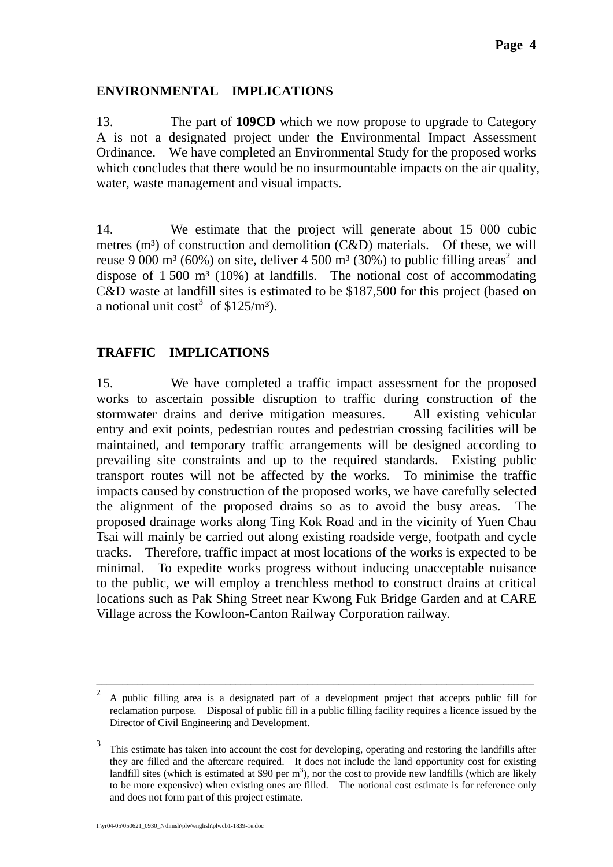### **ENVIRONMENTAL IMPLICATIONS**

13. The part of **109CD** which we now propose to upgrade to Category A is not a designated project under the Environmental Impact Assessment Ordinance.We have completed an Environmental Study for the proposed works which concludes that there would be no insurmountable impacts on the air quality, water, waste management and visual impacts.

14. We estimate that the project will generate about 15 000 cubic metres  $(m<sup>3</sup>)$  of construction and demolition  $(C&D)$  materials. Of these, we will reuse 9 000 m<sup>3</sup> (60%) on site, deliver 4 500 m<sup>3</sup> (30%) to public filling areas<sup>2</sup> and dispose of  $1,500 \text{ m}^3$  (10%) at landfills. The notional cost of accommodating C&D waste at landfill sites is estimated to be \$187,500 for this project (based on a notional unit  $\cos^3 \theta \$ \$125/m<sup>3</sup>).

## **TRAFFIC IMPLICATIONS**

15. We have completed a traffic impact assessment for the proposed works to ascertain possible disruption to traffic during construction of the stormwater drains and derive mitigation measures. All existing vehicular entry and exit points, pedestrian routes and pedestrian crossing facilities will be maintained, and temporary traffic arrangements will be designed according to prevailing site constraints and up to the required standards. Existing public transport routes will not be affected by the works. To minimise the traffic impacts caused by construction of the proposed works, we have carefully selected the alignment of the proposed drains so as to avoid the busy areas. The proposed drainage works along Ting Kok Road and in the vicinity of Yuen Chau Tsai will mainly be carried out along existing roadside verge, footpath and cycle tracks. Therefore, traffic impact at most locations of the works is expected to be minimal. To expedite works progress without inducing unacceptable nuisance to the public, we will employ a trenchless method to construct drains at critical locations such as Pak Shing Street near Kwong Fuk Bridge Garden and at CARE Village across the Kowloon-Canton Railway Corporation railway.

–––––––––––––––––––––––––––––––––––––––––––––––––––––––––––––––––––––––––––––––––––––

<sup>&</sup>lt;sup>2</sup> A public filling area is a designated part of a development project that accepts public fill for reclamation purpose. Disposal of public fill in a public filling facility requires a licence issued by the Director of Civil Engineering and Development.

<sup>&</sup>lt;sup>3</sup> This estimate has taken into account the cost for developing, operating and restoring the landfills after they are filled and the aftercare required. It does not include the land opportunity cost for existing landfill sites (which is estimated at \$90 per  $m<sup>3</sup>$ ), nor the cost to provide new landfills (which are likely to be more expensive) when existing ones are filled. The notional cost estimate is for reference only and does not form part of this project estimate.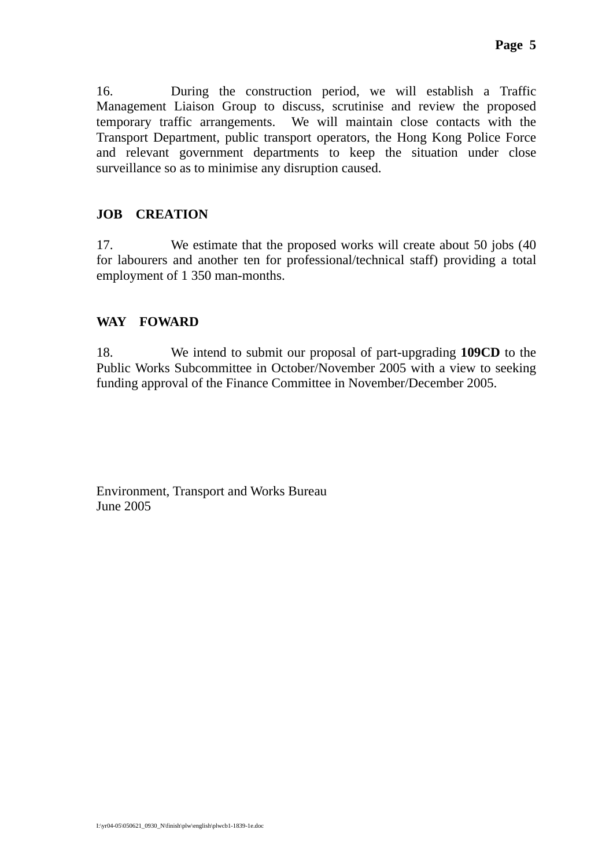16. During the construction period, we will establish a Traffic Management Liaison Group to discuss, scrutinise and review the proposed temporary traffic arrangements. We will maintain close contacts with the Transport Department, public transport operators, the Hong Kong Police Force and relevant government departments to keep the situation under close surveillance so as to minimise any disruption caused.

# **JOB CREATION**

17. We estimate that the proposed works will create about 50 jobs (40 for labourers and another ten for professional/technical staff) providing a total employment of 1 350 man-months.

# **WAY FOWARD**

18. We intend to submit our proposal of part-upgrading **109CD** to the Public Works Subcommittee in October/November 2005 with a view to seeking funding approval of the Finance Committee in November/December 2005.

Environment, Transport and Works Bureau June 2005